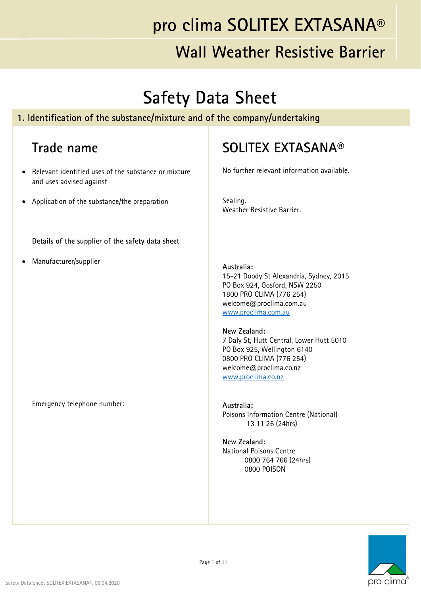### **Wall Weather Resistive Barrier**

## **Safety Data Sheet**

#### **1. Identification of the substance/mixture and of the company/undertaking**

#### **Trade name**

- Relevant identified uses of the substance or mixture and uses advised against
- Application of the substance/the preparation

**Details of the supplier of the safety data sheet**

Manufacturer/supplier

Emergency telephone number:

#### **SOLITEX EXTASANA®**

No further relevant information available.

Sealing. Weather Resistive Barrier.

#### **Australia:**

15-21 Doody St Alexandria, Sydney, 2015 PO Box 924, Gosford, NSW 2250 1800 PRO CLIMA (776 254) welcome@proclima.com.au www.proclima.com.au

#### **New Zealand:**

7 Daly St, Hutt Central, Lower Hutt 5010 PO Box 925, Wellington 6140 0800 PRO CLIMA (776 254) welcome@proclima.co.nz www.proclima.co.nz

**Australia:**  Poisons Information Centre (National) 13 11 26 (24hrs)

**New Zealand:**  National Poisons Centre 0800 764 766 (24hrs) 0800 POISON

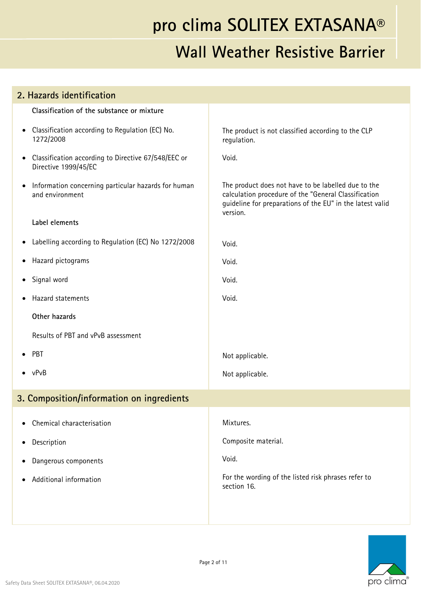| 2. Hazards identification                                                                |                                                                                                                                                                                      |
|------------------------------------------------------------------------------------------|--------------------------------------------------------------------------------------------------------------------------------------------------------------------------------------|
| Classification of the substance or mixture                                               |                                                                                                                                                                                      |
| Classification according to Regulation (EC) No.<br>$\bullet$<br>1272/2008                | The product is not classified according to the CLP<br>regulation.                                                                                                                    |
| Classification according to Directive 67/548/EEC or<br>$\bullet$<br>Directive 1999/45/EC | Void.                                                                                                                                                                                |
| Information concerning particular hazards for human<br>$\bullet$<br>and environment      | The product does not have to be labelled due to the<br>calculation procedure of the "General Classification<br>guideline for preparations of the EU" in the latest valid<br>version. |
| Label elements                                                                           |                                                                                                                                                                                      |
| Labelling according to Regulation (EC) No 1272/2008<br>$\bullet$                         | Void.                                                                                                                                                                                |
| Hazard pictograms<br>$\bullet$                                                           | Void.                                                                                                                                                                                |
| Signal word<br>$\bullet$                                                                 | Void.                                                                                                                                                                                |
| Hazard statements<br>$\bullet$                                                           | Void.                                                                                                                                                                                |
| Other hazards                                                                            |                                                                                                                                                                                      |
| Results of PBT and vPvB assessment                                                       |                                                                                                                                                                                      |
| PBT<br>$\bullet$                                                                         | Not applicable.                                                                                                                                                                      |
| $\bullet$ vPvB                                                                           | Not applicable.                                                                                                                                                                      |
| 3. Composition/information on ingredients                                                |                                                                                                                                                                                      |
| Chemical characterisation                                                                | Mixtures.                                                                                                                                                                            |
| Description<br>$\bullet$                                                                 | Composite material.                                                                                                                                                                  |
| Dangerous components<br>$\bullet$                                                        | Void.                                                                                                                                                                                |
| Additional information                                                                   | For the wording of the listed risk phrases refer to<br>section 16.                                                                                                                   |
|                                                                                          |                                                                                                                                                                                      |

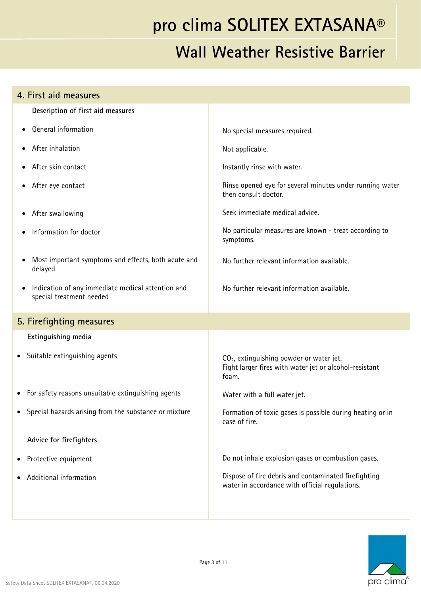| 4. First aid measures                                                         |                                                                                                                         |
|-------------------------------------------------------------------------------|-------------------------------------------------------------------------------------------------------------------------|
| Description of first aid measures                                             |                                                                                                                         |
| General information                                                           | No special measures required.                                                                                           |
| After inhalation                                                              | Not applicable.                                                                                                         |
| After skin contact                                                            | Instantly rinse with water.                                                                                             |
| After eye contact                                                             | Rinse opened eye for several minutes under running water<br>then consult doctor.                                        |
| After swallowing                                                              | Seek immediate medical advice.                                                                                          |
| Information for doctor                                                        | No particular measures are known - treat according to<br>symptoms.                                                      |
| Most important symptoms and effects, both acute and<br>delayed                | No further relevant information available.                                                                              |
| Indication of any immediate medical attention and<br>special treatment needed | No further relevant information available.                                                                              |
| 5. Firefighting measures                                                      |                                                                                                                         |
| Extinguishing media                                                           |                                                                                                                         |
| Suitable extinguishing agents<br>$\bullet$                                    | CO <sub>2</sub> , extinguishing powder or water jet.<br>Fight larger fires with water jet or alcohol-resistant<br>foam. |
| For safety reasons unsuitable extinguishing agents                            | Water with a full water jet.                                                                                            |
| Special hazards arising from the substance or mixture                         | Formation of toxic gases is possible during heating or in<br>case of fire.                                              |
| Advice for firefighters                                                       |                                                                                                                         |
| Protective equipment                                                          | Do not inhale explosion gases or combustion gases.                                                                      |
| Additional information                                                        | Dispose of fire debris and contaminated firefighting<br>water in accordance with official regulations.                  |
|                                                                               |                                                                                                                         |

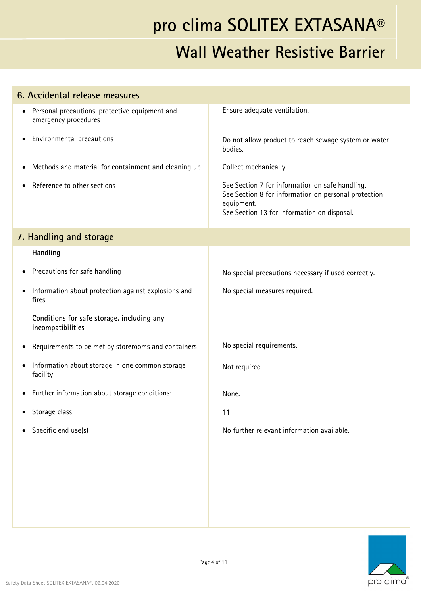| 6. Accidental release measures                                                      |                                                                                                                                                                      |
|-------------------------------------------------------------------------------------|----------------------------------------------------------------------------------------------------------------------------------------------------------------------|
| Personal precautions, protective equipment and<br>$\bullet$<br>emergency procedures | Ensure adequate ventilation.                                                                                                                                         |
| Environmental precautions<br>٠                                                      | Do not allow product to reach sewage system or water<br>bodies.                                                                                                      |
| Methods and material for containment and cleaning up<br>$\bullet$                   | Collect mechanically.                                                                                                                                                |
| Reference to other sections                                                         | See Section 7 for information on safe handling.<br>See Section 8 for information on personal protection<br>equipment.<br>See Section 13 for information on disposal. |
| 7. Handling and storage                                                             |                                                                                                                                                                      |
| Handling                                                                            |                                                                                                                                                                      |
| Precautions for safe handling<br>٠                                                  | No special precautions necessary if used correctly.                                                                                                                  |
| Information about protection against explosions and<br>fires                        | No special measures required.                                                                                                                                        |
| Conditions for safe storage, including any<br>incompatibilities                     |                                                                                                                                                                      |
| Requirements to be met by storerooms and containers<br>٠                            | No special requirements.                                                                                                                                             |
| Information about storage in one common storage<br>$\bullet$<br>facility            | Not required.                                                                                                                                                        |
| Further information about storage conditions:<br>$\bullet$                          | None.                                                                                                                                                                |
| Storage class<br>٠                                                                  | 11.                                                                                                                                                                  |
| Specific end use(s)<br>$\bullet$                                                    | No further relevant information available.                                                                                                                           |
|                                                                                     |                                                                                                                                                                      |

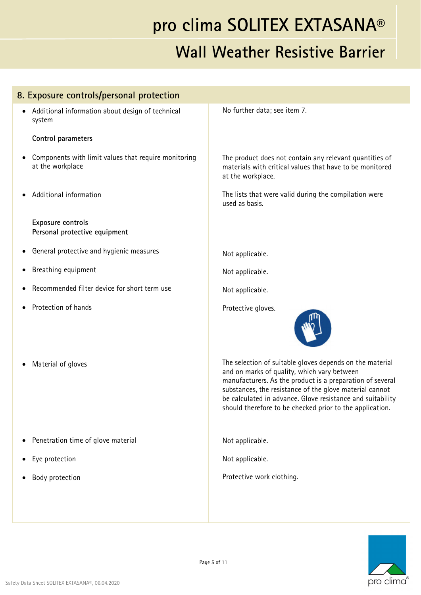| 8. Exposure controls/personal protection                                 |                                                                                                                                                                                                                                                                                                                                                           |
|--------------------------------------------------------------------------|-----------------------------------------------------------------------------------------------------------------------------------------------------------------------------------------------------------------------------------------------------------------------------------------------------------------------------------------------------------|
| Additional information about design of technical<br>system               | No further data; see item 7.                                                                                                                                                                                                                                                                                                                              |
| Control parameters                                                       |                                                                                                                                                                                                                                                                                                                                                           |
| Components with limit values that require monitoring<br>at the workplace | The product does not contain any relevant quantities of<br>materials with critical values that have to be monitored<br>at the workplace.                                                                                                                                                                                                                  |
| Additional information                                                   | The lists that were valid during the compilation were<br>used as basis.                                                                                                                                                                                                                                                                                   |
| Exposure controls<br>Personal protective equipment                       |                                                                                                                                                                                                                                                                                                                                                           |
| General protective and hygienic measures                                 | Not applicable.                                                                                                                                                                                                                                                                                                                                           |
| Breathing equipment                                                      | Not applicable.                                                                                                                                                                                                                                                                                                                                           |
| Recommended filter device for short term use                             | Not applicable.                                                                                                                                                                                                                                                                                                                                           |
| Protection of hands                                                      | Protective gloves.                                                                                                                                                                                                                                                                                                                                        |
| Material of gloves                                                       | The selection of suitable gloves depends on the material<br>and on marks of quality, which vary between<br>manufacturers. As the product is a preparation of several<br>substances, the resistance of the glove material cannot<br>be calculated in advance. Glove resistance and suitability<br>should therefore to be checked prior to the application. |
| Penetration time of glove material                                       | Not applicable.                                                                                                                                                                                                                                                                                                                                           |
| Eye protection                                                           | Not applicable.                                                                                                                                                                                                                                                                                                                                           |
| Body protection                                                          | Protective work clothing.                                                                                                                                                                                                                                                                                                                                 |
|                                                                          |                                                                                                                                                                                                                                                                                                                                                           |
|                                                                          |                                                                                                                                                                                                                                                                                                                                                           |

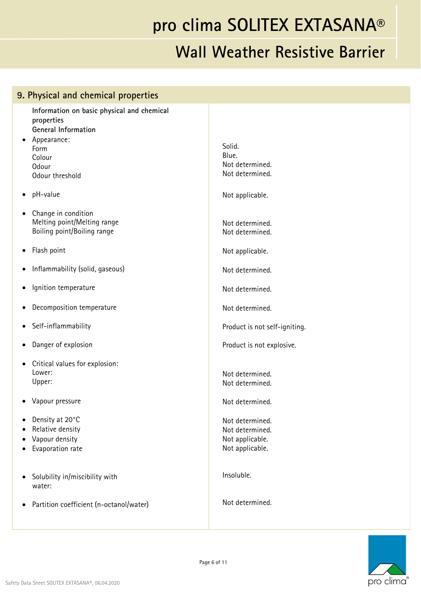| 9. Physical and chemical properties                                                                                                                       |                                                                          |
|-----------------------------------------------------------------------------------------------------------------------------------------------------------|--------------------------------------------------------------------------|
| Information on basic physical and chemical<br>properties<br>General Information<br>Appearance:<br>$\bullet$<br>Form<br>Colour<br>Odour<br>Odour threshold | Solid.<br>Blue.<br>Not determined.<br>Not determined.                    |
| pH-value<br>$\bullet$                                                                                                                                     | Not applicable.                                                          |
| Change in condition<br>$\bullet$<br>Melting point/Melting range<br>Boiling point/Boiling range                                                            | Not determined.<br>Not determined.                                       |
| Flash point<br>$\bullet$                                                                                                                                  | Not applicable.                                                          |
| Inflammability (solid, gaseous)<br>$\bullet$                                                                                                              | Not determined.                                                          |
| Ignition temperature<br>$\bullet$                                                                                                                         | Not determined.                                                          |
| Decomposition temperature<br>$\bullet$                                                                                                                    | Not determined.                                                          |
| Self-inflammability<br>$\bullet$                                                                                                                          | Product is not self-igniting.                                            |
| Danger of explosion<br>$\bullet$                                                                                                                          | Product is not explosive.                                                |
| Critical values for explosion:<br>$\bullet$<br>Lower:<br>Upper:                                                                                           | Not determined.<br>Not determined.                                       |
| Vapour pressure                                                                                                                                           | Not determined.                                                          |
| Density at 20°C<br>$\bullet$<br>Relative density<br>$\bullet$<br>Vapour density<br>Evaporation rate                                                       | Not determined.<br>Not determined.<br>Not applicable.<br>Not applicable. |
| Solubility in/miscibility with<br>$\bullet$<br>water:                                                                                                     | Insoluble.                                                               |
| Partition coefficient (n-octanol/water)<br>$\bullet$                                                                                                      | Not determined.                                                          |

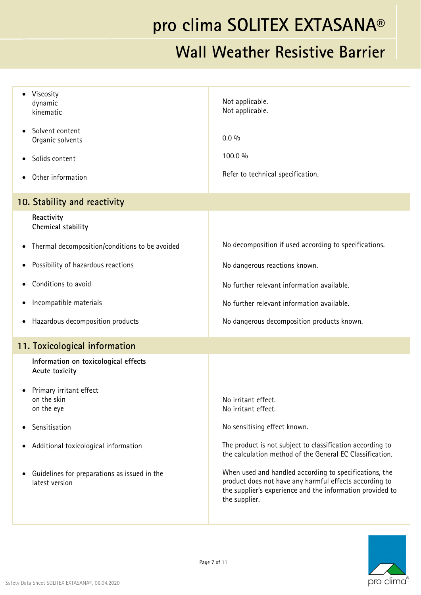| Viscosity<br>dynamic<br>kinematic                              | Not applicable.<br>Not applicable.                                                                                                                                                             |
|----------------------------------------------------------------|------------------------------------------------------------------------------------------------------------------------------------------------------------------------------------------------|
| Solvent content<br>Organic solvents                            | $0.0\%$                                                                                                                                                                                        |
| Solids content                                                 | 100.0 %                                                                                                                                                                                        |
| Other information                                              | Refer to technical specification.                                                                                                                                                              |
| 10. Stability and reactivity                                   |                                                                                                                                                                                                |
| Reactivity<br>Chemical stability                               |                                                                                                                                                                                                |
| Thermal decomposition/conditions to be avoided<br>$\bullet$    | No decomposition if used according to specifications.                                                                                                                                          |
| Possibility of hazardous reactions                             | No dangerous reactions known.                                                                                                                                                                  |
| Conditions to avoid                                            | No further relevant information available.                                                                                                                                                     |
| Incompatible materials<br>$\bullet$                            | No further relevant information available.                                                                                                                                                     |
| Hazardous decomposition products<br>$\bullet$                  | No dangerous decomposition products known.                                                                                                                                                     |
| 11. Toxicological information                                  |                                                                                                                                                                                                |
| Information on toxicological effects<br>Acute toxicity         |                                                                                                                                                                                                |
| Primary irritant effect<br>on the skin<br>on the eye           | No irritant effect.<br>No irritant effect.                                                                                                                                                     |
| Sensitisation                                                  | No sensitising effect known.                                                                                                                                                                   |
| Additional toxicological information<br>٠                      | The product is not subject to classification according to<br>the calculation method of the General EC Classification.                                                                          |
| Guidelines for preparations as issued in the<br>latest version | When used and handled according to specifications, the<br>product does not have any harmful effects according to<br>the supplier's experience and the information provided to<br>the supplier. |

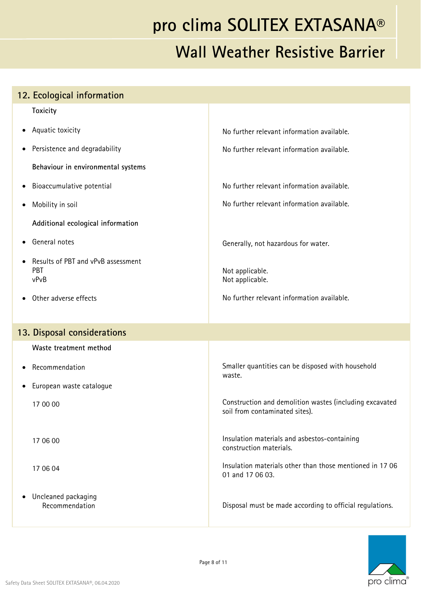# **pro clima SOLITEX EXTASANA® Wall Weather Resistive Barrier**

|           | 12. Ecological information                               |                                                                                           |
|-----------|----------------------------------------------------------|-------------------------------------------------------------------------------------------|
|           | <b>Toxicity</b>                                          |                                                                                           |
|           | • Aquatic toxicity                                       | No further relevant information available.                                                |
| $\bullet$ | Persistence and degradability                            | No further relevant information available.                                                |
|           | Behaviour in environmental systems                       |                                                                                           |
| $\bullet$ | Bioaccumulative potential                                | No further relevant information available.                                                |
| ٠         | Mobility in soil                                         | No further relevant information available.                                                |
|           | Additional ecological information                        |                                                                                           |
| $\bullet$ | General notes                                            | Generally, not hazardous for water.                                                       |
|           | Results of PBT and vPvB assessment<br><b>PBT</b><br>vPvB | Not applicable.<br>Not applicable.                                                        |
|           | Other adverse effects                                    | No further relevant information available.                                                |
|           | 13. Disposal considerations                              |                                                                                           |
|           | Waste treatment method                                   |                                                                                           |
| $\bullet$ | Recommendation                                           | Smaller quantities can be disposed with household<br>waste.                               |
| $\bullet$ | European waste catalogue                                 |                                                                                           |
|           | 17 00 00                                                 | Construction and demolition wastes (including excavated<br>soil from contaminated sites). |
|           | 17 06 00                                                 | Insulation materials and asbestos-containing<br>construction materials.                   |
|           | 17 06 04                                                 | Insulation materials other than those mentioned in 17 06<br>01 and 17 06 03.              |
|           | Uncleaned packaging<br>Recommendation                    | Disposal must be made according to official regulations.                                  |

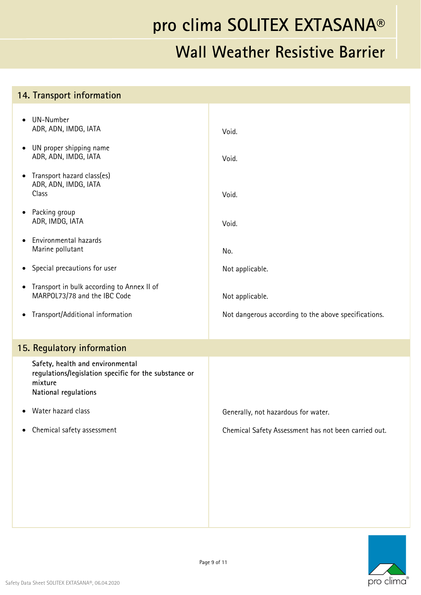| 14. Transport information                                                                                                    |                                                      |
|------------------------------------------------------------------------------------------------------------------------------|------------------------------------------------------|
| UN-Number<br>$\bullet$<br>ADR, ADN, IMDG, IATA                                                                               | Void.                                                |
| UN proper shipping name<br>$\bullet$<br>ADR, ADN, IMDG, IATA                                                                 | Void.                                                |
| Transport hazard class(es)<br>$\bullet$<br>ADR, ADN, IMDG, IATA<br>Class                                                     | Void.                                                |
| Packing group<br>$\bullet$<br>ADR, IMDG, IATA                                                                                | Void.                                                |
| Environmental hazards<br>$\bullet$<br>Marine pollutant                                                                       | No.                                                  |
| Special precautions for user<br>$\bullet$                                                                                    | Not applicable.                                      |
| Transport in bulk according to Annex II of<br>$\bullet$<br>MARPOL73/78 and the IBC Code                                      | Not applicable.                                      |
| Transport/Additional information<br>$\bullet$                                                                                | Not dangerous according to the above specifications. |
| 15. Regulatory information                                                                                                   |                                                      |
| Safety, health and environmental<br>regulations/legislation specific for the substance or<br>mixture<br>National regulations |                                                      |
| Water hazard class<br>$\bullet$                                                                                              | Generally, not hazardous for water.                  |
| Chemical safety assessment<br>$\bullet$                                                                                      | Chemical Safety Assessment has not been carried out. |
|                                                                                                                              |                                                      |
|                                                                                                                              |                                                      |
|                                                                                                                              |                                                      |
|                                                                                                                              |                                                      |

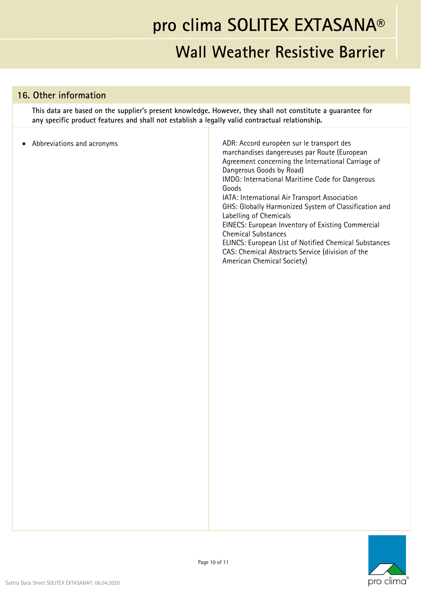#### **Wall Weather Resistive Barrier**

#### **16. Other information**

**This data are based on the supplier's present knowledge. However, they shall not constitute a guarantee for any specific product features and shall not establish a legally valid contractual relationship.** 

| Abbreviations and acronyms<br>$\bullet$ | ADR: Accord européen sur le transport des<br>marchandises dangereuses par Route (European<br>Agreement concerning the International Carriage of<br>Dangerous Goods by Road)<br>IMDG: International Maritime Code for Dangerous<br>Goods<br>IATA: International Air Transport Association<br>GHS: Globally Harmonized System of Classification and<br>Labelling of Chemicals<br>EINECS: European Inventory of Existing Commercial<br><b>Chemical Substances</b><br>ELINCS: European List of Notified Chemical Substances<br>CAS: Chemical Abstracts Service (division of the<br>American Chemical Society) |
|-----------------------------------------|-----------------------------------------------------------------------------------------------------------------------------------------------------------------------------------------------------------------------------------------------------------------------------------------------------------------------------------------------------------------------------------------------------------------------------------------------------------------------------------------------------------------------------------------------------------------------------------------------------------|
|                                         |                                                                                                                                                                                                                                                                                                                                                                                                                                                                                                                                                                                                           |